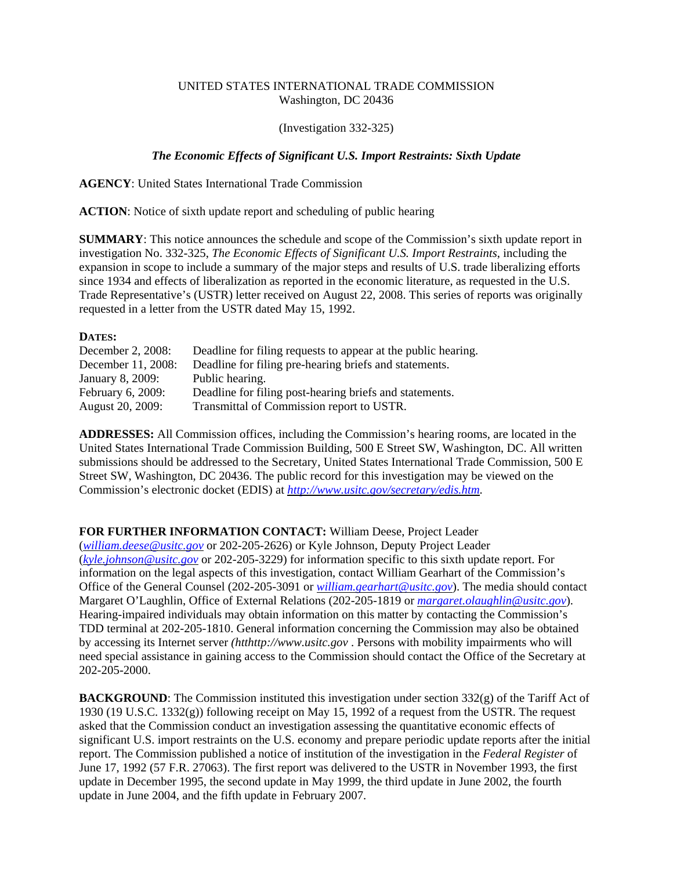## UNITED STATES INTERNATIONAL TRADE COMMISSION Washington, DC 20436

## (Investigation 332-325)

## *The Economic Effects of Significant U.S. Import Restraints: Sixth Update*

**AGENCY**: United States International Trade Commission

**ACTION**: Notice of sixth update report and scheduling of public hearing

**SUMMARY**: This notice announces the schedule and scope of the Commission's sixth update report in investigation No. 332-325, *The Economic Effects of Significant U.S. Import Restraints*, including the expansion in scope to include a summary of the major steps and results of U.S. trade liberalizing efforts since 1934 and effects of liberalization as reported in the economic literature, as requested in the U.S. Trade Representative's (USTR) letter received on August 22, 2008. This series of reports was originally requested in a letter from the USTR dated May 15, 1992.

## **DATES:**

| December 2, 2008:  | Deadline for filing requests to appear at the public hearing. |
|--------------------|---------------------------------------------------------------|
| December 11, 2008: | Deadline for filing pre-hearing briefs and statements.        |
| January 8, 2009:   | Public hearing.                                               |
| February 6, 2009:  | Deadline for filing post-hearing briefs and statements.       |
| August 20, 2009:   | Transmittal of Commission report to USTR.                     |

**ADDRESSES:** All Commission offices, including the Commission's hearing rooms, are located in the United States International Trade Commission Building, 500 E Street SW, Washington, DC. All written submissions should be addressed to the Secretary, United States International Trade Commission, 500 E Street SW, Washington, DC 20436. The public record for this investigation may be viewed on the Commission's electronic docket (EDIS) at *http://www.usitc.gov/secretary/edis.htm*.

**FOR FURTHER INFORMATION CONTACT:** William Deese, Project Leader

(*william.deese@usitc.gov* or 202-205-2626) or Kyle Johnson, Deputy Project Leader (*kyle.johnson@usitc.gov* or 202-205-3229) for information specific to this sixth update report. For information on the legal aspects of this investigation, contact William Gearhart of the Commission's Office of the General Counsel (202-205-3091 or *william.gearhart@usitc.gov*). The media should contact Margaret O'Laughlin, Office of External Relations (202-205-1819 or *margaret.olaughlin@usitc.gov*). Hearing-impaired individuals may obtain information on this matter by contacting the Commission's TDD terminal at 202-205-1810. General information concerning the Commission may also be obtained by accessing its Internet server *(htthttp://www.usitc.gov* . Persons with mobility impairments who will need special assistance in gaining access to the Commission should contact the Office of the Secretary at 202-205-2000.

**BACKGROUND:** The Commission instituted this investigation under section 332(g) of the Tariff Act of 1930 (19 U.S.C. 1332(g)) following receipt on May 15, 1992 of a request from the USTR. The request asked that the Commission conduct an investigation assessing the quantitative economic effects of significant U.S. import restraints on the U.S. economy and prepare periodic update reports after the initial report. The Commission published a notice of institution of the investigation in the *Federal Register* of June 17, 1992 (57 F.R. 27063). The first report was delivered to the USTR in November 1993, the first update in December 1995, the second update in May 1999, the third update in June 2002, the fourth update in June 2004, and the fifth update in February 2007.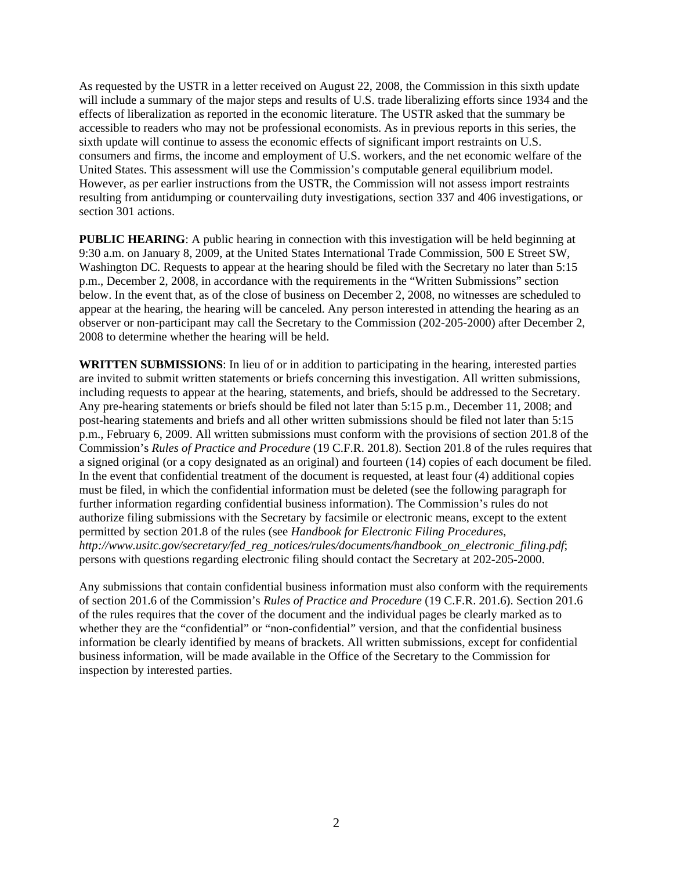As requested by the USTR in a letter received on August 22, 2008, the Commission in this sixth update will include a summary of the major steps and results of U.S. trade liberalizing efforts since 1934 and the effects of liberalization as reported in the economic literature. The USTR asked that the summary be accessible to readers who may not be professional economists. As in previous reports in this series, the sixth update will continue to assess the economic effects of significant import restraints on U.S. consumers and firms, the income and employment of U.S. workers, and the net economic welfare of the United States. This assessment will use the Commission's computable general equilibrium model. However, as per earlier instructions from the USTR, the Commission will not assess import restraints resulting from antidumping or countervailing duty investigations, section 337 and 406 investigations, or section 301 actions.

**PUBLIC HEARING:** A public hearing in connection with this investigation will be held beginning at 9:30 a.m. on January 8, 2009, at the United States International Trade Commission, 500 E Street SW, Washington DC. Requests to appear at the hearing should be filed with the Secretary no later than 5:15 p.m., December 2, 2008, in accordance with the requirements in the "Written Submissions" section below. In the event that, as of the close of business on December 2, 2008, no witnesses are scheduled to appear at the hearing, the hearing will be canceled. Any person interested in attending the hearing as an observer or non-participant may call the Secretary to the Commission (202-205-2000) after December 2, 2008 to determine whether the hearing will be held.

**WRITTEN SUBMISSIONS**: In lieu of or in addition to participating in the hearing, interested parties are invited to submit written statements or briefs concerning this investigation. All written submissions, including requests to appear at the hearing, statements, and briefs, should be addressed to the Secretary. Any pre-hearing statements or briefs should be filed not later than 5:15 p.m., December 11, 2008; and post-hearing statements and briefs and all other written submissions should be filed not later than 5:15 p.m., February 6, 2009. All written submissions must conform with the provisions of section 201.8 of the Commission's *Rules of Practice and Procedure* (19 C.F.R. 201.8). Section 201.8 of the rules requires that a signed original (or a copy designated as an original) and fourteen (14) copies of each document be filed. In the event that confidential treatment of the document is requested, at least four (4) additional copies must be filed, in which the confidential information must be deleted (see the following paragraph for further information regarding confidential business information). The Commission's rules do not authorize filing submissions with the Secretary by facsimile or electronic means, except to the extent permitted by section 201.8 of the rules (see *Handbook for Electronic Filing Procedures*, *http://www.usitc.gov/secretary/fed\_reg\_notices/rules/documents/handbook\_on\_electronic\_filing.pdf*; persons with questions regarding electronic filing should contact the Secretary at 202-205-2000.

Any submissions that contain confidential business information must also conform with the requirements of section 201.6 of the Commission's *Rules of Practice and Procedure* (19 C.F.R. 201.6). Section 201.6 of the rules requires that the cover of the document and the individual pages be clearly marked as to whether they are the "confidential" or "non-confidential" version, and that the confidential business information be clearly identified by means of brackets. All written submissions, except for confidential business information, will be made available in the Office of the Secretary to the Commission for inspection by interested parties.